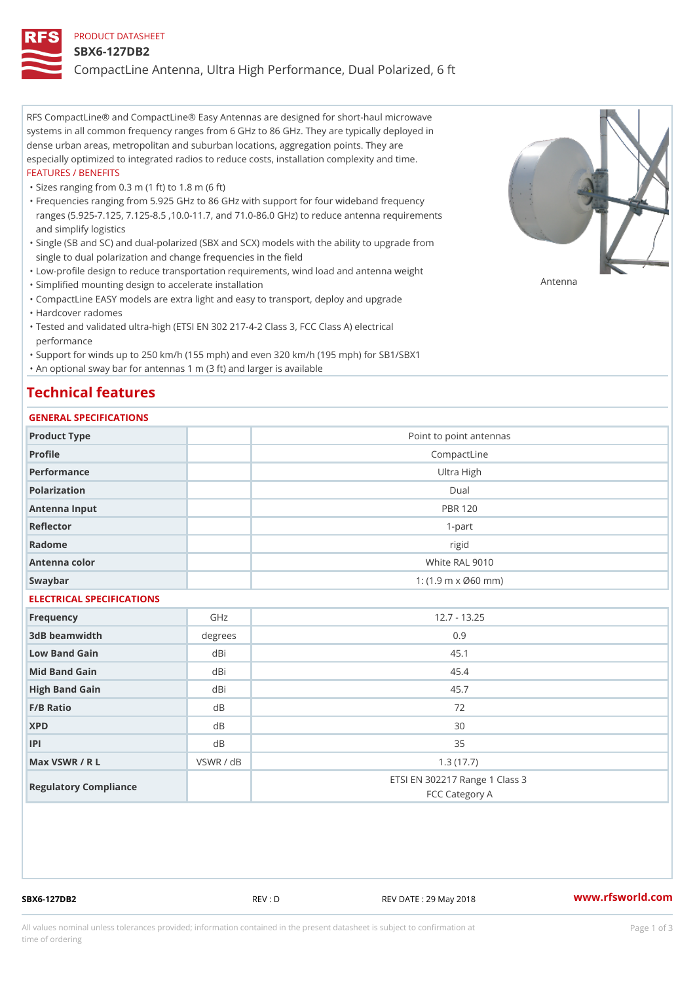#### PRODUCT DATASHEET

#### SBX6-127DB2

CompactLine Antenna, Ultra High Performance, Dual Polarized, 6 ft

RFS CompactLine® and CompactLine® Easy Antennas are designed for short-haul microwave systems in all common frequency ranges from 6 GHz to 86 GHz. They are typically deployed in dense urban areas, metropolitan and suburban locations, aggregation points. They are especially optimized to integrated radios to reduce costs, installation complexity and time. FEATURES / BENEFITS

"Sizes ranging from 0.3 m (1 ft) to 1.8 m (6 ft)

Frequencies ranging from 5.925 GHz to 86 GHz with support for four wideband frequency " ranges (5.925-7.125, 7.125-8.5 ,10.0-11.7, and 71.0-86.0 GHz) to reduce antenna requirements and simplify logistics

Single (SB and SC) and dual-polarized (SBX and SCX) models with the ability to upgrade from " single to dual polarization and change frequencies in the field

"Low-profile design to reduce transportation requirements, wind load and antenna weight

"Simplified mounting design to accelerate installation

 "CompactLine EASY models are extra light and easy to transport, deploy and upgrade "Hardcover radomes

Tested and validated ultra-high (ETSI EN 302 217-4-2 Class 3, FCC Class A) electrical " performance

 "Support for winds up to 250 km/h (155 mph) and even 320 km/h (195 mph) for SB1/SBX1 "An optional sway bar for antennas 1 m (3 ft) and larger is available

#### Technical features

#### GENERAL SPECIFICATIONS

| OLIVERAL OF LOTITOATIONS  |           |                                                  |  |  |
|---------------------------|-----------|--------------------------------------------------|--|--|
| Product Type              |           | Point to point antennas                          |  |  |
| Profile                   |           | CompactLine                                      |  |  |
| Performance               |           | Ultra High                                       |  |  |
| Polarization              |           | $D$ ual                                          |  |  |
| Antenna Input             |           | <b>PBR 120</b>                                   |  |  |
| Reflector                 |           | $1-part$                                         |  |  |
| Radome                    |           | rigid                                            |  |  |
| Antenna color             |           | White RAL 9010                                   |  |  |
| Swaybar                   |           | 1: $(1.9 \, m \times 060 \, mm)$                 |  |  |
| ELECTRICAL SPECIFICATIONS |           |                                                  |  |  |
| Frequency                 | GHz       | $12.7 - 13.25$                                   |  |  |
| 3dB beamwidth             | degrees   | 0.9                                              |  |  |
| Low Band Gain             | dBi       | 45.1                                             |  |  |
| Mid Band Gain             | dBi       | 45.4                                             |  |  |
| High Band Gain            | dBi       | 45.7                                             |  |  |
| $F/B$ Ratio               | d B       | 72                                               |  |  |
| <b>XPD</b>                | $d$ B     | 30                                               |  |  |
| P                         | d B       | 35                                               |  |  |
| Max VSWR / R L            | VSWR / dB | 1.3(17.7)                                        |  |  |
| Regulatory Compliance     |           | ETSI EN 302217 Range 1 Class 3<br>FCC Category A |  |  |

SBX6-127DB2 REV : D REV DATE : 29 May 2018 [www.](https://www.rfsworld.com)rfsworld.com

Antenna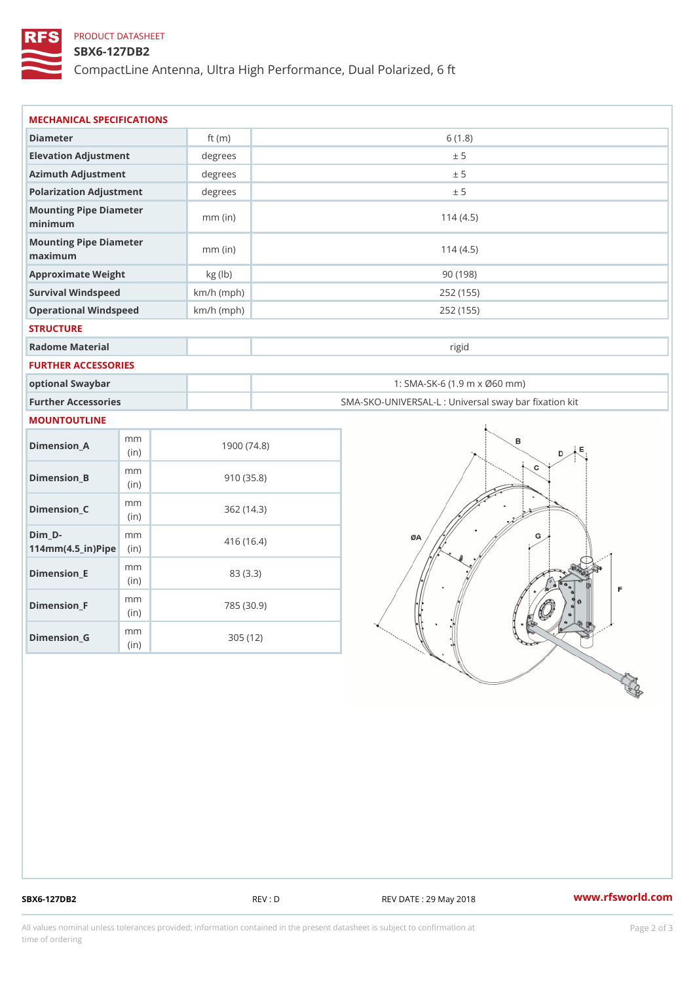### PRODUCT DATASHEET

#### SBX6-127DB2

CompactLine Antenna, Ultra High Performance, Dual Polarized, 6 ft

| MECHANICAL SPECIFICATIONS                                                      |              |                                                   |
|--------------------------------------------------------------------------------|--------------|---------------------------------------------------|
| Diameter                                                                       | ft $(m)$     | 6(1.8)                                            |
| Elevation Adjustment                                                           | degrees      | ± 5                                               |
| Azimuth Adjustment                                                             | $degree$ :   | ± 5                                               |
| Polarization Adjustment                                                        | degrees      | ± 5                                               |
| Mounting Pipe Diameter<br>minimum                                              | $mm$ (in)    | 114(4.5)                                          |
| Mounting Pipe Diameter<br>maximum                                              | $mm$ (in)    | 114(4.5)                                          |
| Approximate Weight                                                             | kg (lb)      | 90(198)                                           |
| Survival Windspeed                                                             | $km/h$ (mph) | 252 (155)                                         |
| Operational Windspeed                                                          | $km/h$ (mph) | 252 (155)                                         |
| <b>STRUCTURE</b>                                                               |              |                                                   |
| Radome Material                                                                |              | rigid                                             |
| FURTHER ACCESSORIES                                                            |              |                                                   |
| optional Swaybar                                                               |              | 1: SMA-SK-6 (1.9 m x Ø60 mm)                      |
| Further Accessories                                                            |              | SMA-SKO-UNIVERSAL-L : Universal sway bar fixation |
| MOUNTOUTLINE                                                                   |              |                                                   |
| m m<br>$Dimen sion_A$<br>(in)                                                  |              | 1900(74.8)                                        |
| m m<br>$Dimension_B$<br>(in)                                                   |              | 910(35.8)                                         |
| m m<br>$Dimension_C$<br>(in)                                                   |              | 362(14.3)                                         |
| $Dim_D - D -$<br>m m<br>$114$ m m (4.5 _ ir ) $\sqrt{$ ii p $\sqrt{$ $\approx$ |              | 416(16.4)                                         |
| m m<br>$Dimension$ = E<br>(in)                                                 |              | 83 (3.3)                                          |
| m m<br>$Dimen sion_F$<br>(in)                                                  |              | 785 (30.9)                                        |
| m m<br>$D$ imension $_G$                                                       | 305 (12)     |                                                   |

SBX6-127DB2 REV : D REV DATE : 29 May 2018 WWW.rfsworld.com